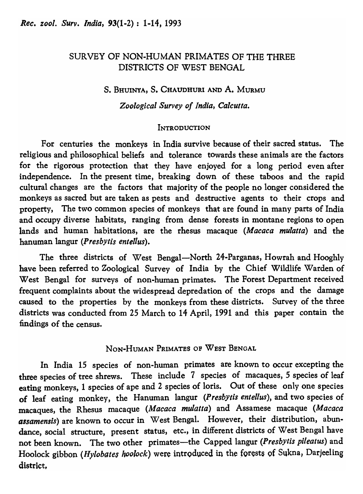# SURVEY OF NON-HUMAN PRIMATES OF THE THREE DISTRICTS OF WEST BENGAL

# s. BHUINYA, S. CHAUDHURI AND A. MURMU

*Zoological Survey of India, Calcutta.* 

# **INTRODUCTION**

For centuries the monkeys in India survive because of their sacred status. The religious and philosophical beliefs and tolerance towards these animals are the factors for the rigorous protection that they have enjoyed for a long period even after independence. In the present time, breaking down of these taboos and the rapid cultural changes are the factors that majority of the people no longer considered the monkeys as sacred but are taken as pests and destructive agents to their crops and property, The two common species of monkeys that are found in many parts of India and occupy diverse habitats, ranging from dense forests in montane regions to open lands and human habitations, are the rhesus macaque *(Macaca mulatta)* and the hanuman langur *(Presby tis entellus).* 

The three districts of West Bengal-North 24-Parganas, Howrah and Hooghly have been referred to Zoological Survey of India by the Chief Wildlife Warden of West Bengal for surveys of non-human primates. The Forest Department received frequent complaints about the widespread depredation of the crops and the damage caused to the properties by the monkeys from these districts. Survey of the three districts was conducted from 25 March to 14 April, 1991 and this paper contain the findings of the census.

NON-HuMAN PRIMATES OF WEST BENGAL

In India 15 species of non-human primates are known to occur excepting the three species of tree shrews. These include 7 species of macaques, 5 species of leaf eating monkeys, 1 species of ape and 2 species of loris. Out of these only one species of leaf eating monkey, the Hanuman langur *(PresbY tis entellus),* and two species of macaques, the Rhesus macaque *(Macaca mulatta)* and Assamese macaque *(Macaca assamensis)* are known to occur in West Bengal. However, their distribution, abundance, social structure, present status, etc., in different districts of West Bengal have not been known. The two other primates-the Capped langur *(Presbytis pileatus)* and Hoolock gibbon *(Hylobates hoolock)* were introduced in the forests of Sukna, Darjeeling district.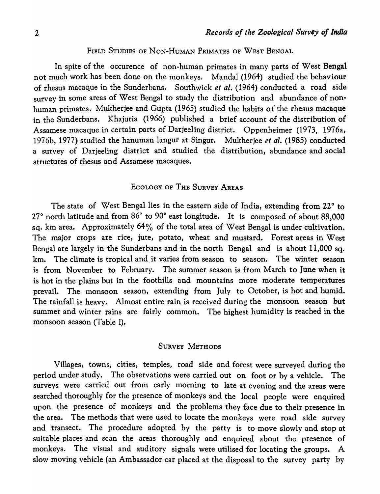FIELD STUDIES OF NON-HUMAN PRIMATES OF WEST BENGAL

In spite of the occurence of non-human primates in many parts of West Bengal not much work has been done on the monkeys. Mandal (1964) studied the behaviour of rhesus macaque in the Sunderbans. Southwick *et al.* (1964) conducted a road side survey in some areas of West Bengal to study the distribution and abundance of nonhuman primates. Mukherjee and Gupta (1965) studied the habits of the rhesus macaque in the Sunderbans. Khajuria (1966) published a brief account of the distribution of Assamese macaque in certain parts of Darjeeling district. Oppenheimer (1973, 1976a, 1976b, 1977) studied the hanuman langur at Singur. Mukherjee *et al.* (1985) conducted a survey of Darjeeling district and studied the distribution, abundance and social structures of rhesus and Assamese macaques.

#### ECOLOGY OF THE SURVEY AREAS

The state of West Bengal lies in the eastern side of India, extending from 22 $\degree$  to 27° north latitude and from 86° to 90° east longitude. It is composed of about 88,000 sq. km area. Approximately 64% of the total area of West Bengal is under cultivation. The major crops are rice, jute, potato, wheat and mustard. Forest areas in West Bengal are largely in the Sunderbans and in the north Bengal and is about  $11,000$  sq. km. The climate is tropical and it varies from season to season. The winter season is from November to February. The summer season is from March to June when it is hot in the plains but in the foothills and mountains more moderate temperatures prevail. The monsoon season, extending from July to October, is hot and humid. The rainfall is heavy. Almost entire rain is received during the monsoon season but summer and winter rains are fairly common. The highest humidity is reached in the monsoon season (Table I).

#### SURVEY METHODS

Villages, towns, cities, temples, road side and forest were surveyed during the period under study. The observations were carried out on foot or by a vehicle. The surveys were carried out from early morning to late at evening and the areas were searched thoroughly for the presence of monkeys and the local people were enquired upon the presence of monkeys and the problems they face due to their presence in the area. The methods that were used to locate the monkeys were road side survey and transect. The procedure adopted by the party is to move slowly and stop at suitable places and scan the areas thoroughly and enquired about the presence of monkeys. The visual and auditory signals were utilised for locating the groups. A slow moving vehicle (an Ambassador car placed at the disposal to the survey party by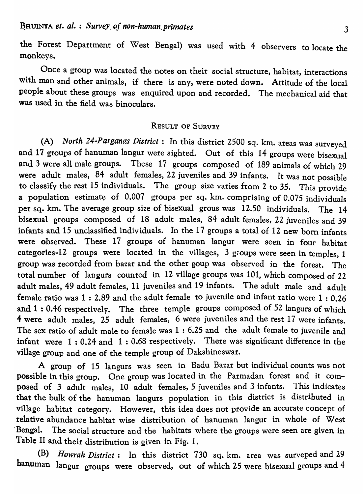the Forest Department of West Bengal) was used with 4 observers to locate the monkeys.

Once a group was located the notes on their social structure, habitat, interactions with man and other animals, if there is any, were noted down. Attitude of the local people about these groups was enquired upon and recorded. The mechanical aid that was used in the field was binoculars.

## RESULT OF SURVEY

(A) *North 24-Parganas District:* In this district 2500 sq. km. areas was surveyed and 17 groups of hanuman langur were sighted. Out of this 14 groups were bisexual and 3 were all male groups. These 17 groups composed of 189 animals of which 29 were adult males, 84 adult females, 22 juveniles and 39 infants. It was not possible to classify the rest 15 individuals. The group size varies from 2 to 35. This provide a population estimate of  $0.007$  groups per sq. km. comprising of  $0.075$  individuals per sq. km. The average group size of bisexual grous was 12.50 individuals. The 14 bisexual groups composed of 18 adult males, 84 adult females, 22 juveniles and 39 infants and 15 unclassified individuals. In the 17 groups a total of 12 new born infants were observed. These 17 groups of hanuman langur were seen in four habitat categories-12 groups were located in the villages,  $3$  groups were seen in temples, 1 group was recorded from bazar and the other goup was observed in the forest. The total number of langurs counted in 12 village groups was 101, which composed of 22 adult males, 49 adult females, 11 juveniles and 19 infants. The adult male and adult female ratio was  $1: 2.89$  and the adult female to juvenile and infant ratio were  $1: 0.26$ and  $1: 0.46$  respectively. The three temple groups composed of 52 langurs of which 4 were adult males, 25 adult females, 6 were juveniles and the rest 17 were infants. The sex ratio of adult male to female was 1 : 6.25 and the adult female to juvenile and infant were  $1: 0.24$  and  $1: 0.68$  respectively. There was significant difference in the village group and one of the temple group of Dakshineswar.

A group of 15 Iangurs was seen in Badu Bazar but individual counts was not possible in this group. One group was located in the Parmadan forest and it composed of 3 adult males, 10 adult females, 5 juveniles and 3 infants. This indicates that the bulk of the hanuman langurs population in this district is distributed in village habitat category. However, this idea does not provide an accurate concept of relative abundance habitat wise distribution of hanuman langur in whole of West Bengal. The social structure and the habitats where the groups were seen are given in Table II and their distribution is given in Fig. 1.

(B) *Howrah District:* In this district 730 sq. km. area was surveped and 29 hanuman langur groups were observed, out of which 25 were bisexual groups and 4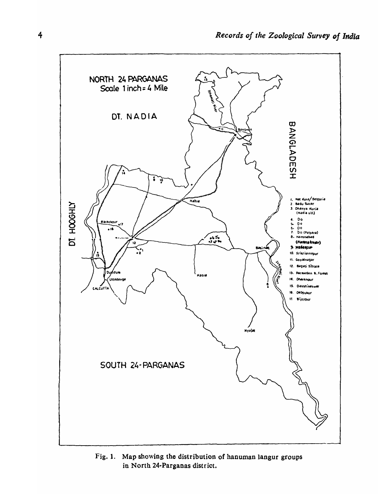

Fig. 1. Map showing the distribution of hanuman langur groups in North 24-Parganas district.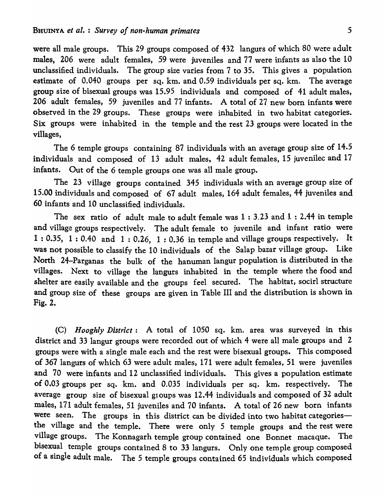were all male groups. This 29 groups composed of 432 langurs of which 80 were adult males, 206 were adult females, 59 were juveniles and 77 were infants as also the 10 unclassified individuals. The group size varies from 7 to 35. This gives a population estimate of 0.040 groups per sq. km. and 0.59 individuals per sq. km. The average group size of bisexual groups was 15.95 individuals and composed of 41 adult males, 206 adult females, 59 juveniles and 77 infants. A total of 27 new born infants were observed in the 29 groups. These groups were inhabited in two habitat categories. Six groups were inhabited in the temple and the rest 23 groups were located in the villages,

The 6 temple groups containing 87 individuals with an average group size of 14.5 individuals and composed of 13 adult males, 42 adult females, 15 juvenilec and 17 infants. Out of the 6 temple groups one was all male group.

The 23 village groups contained 345 individuals with an average group size of 15.00 individuals and composed of 67 adult males, 164 adult females, 44 juveniles and 60 infants and 10 unclassified individuals.

The sex ratio of adult male to adult female was  $1:3.23$  and  $1:2.44$  in temple and village groups respectively. The adult female to juvenile and infant ratio were 1 : 0.35, 1: 0.40 and 1: 0.26, 1: 0.36 in temple and village groups respectively. It was not possible to classify the 10 individuals of the Salap bazar village group. Like North 24-Parganas the bulk of the hanuman langur population is distributed in the villages. Next to village the langurs inhabited in the temple where the food and shelter are easily available and the groups feel secured. The habitat, socirl structure and group size of these groups are given in Table III and the distribution is shown in Fig. 2.

(C) *H ooghly District:* A total of 1050 sq. km. area was surveyed in this district and 33 langur groups were recorded out of which 4 were all male groups and 2 groups were with a single male each and the rest were bisexual groups. This composed of 367 langurs of which 63 were adult males, 171 were adult females, 51 were juveniles and 70 were infants and 12 unclassified individuals. This gives a population estimate of 0.03 groups per sq. km. and 0.035 individuals per sq. km. respectively. The average group size of bisexual groups was 12.44 individuals and composed of 32 adult males, 171 adult females, 51 juveniles and 70 infants. A total of 26 new born infants were seen. The groups in this district can be divided into two habitat categoriesthe village and the temple. There were only 5 temple groups and the rest were village groups. The Konnagarh temple group contained one Bonnet macaque. The bisexual temple groups contained 8 to 33 langurs. Only one temple group composed of a single adult male. The 5 temple groups contained 65 individuals which composed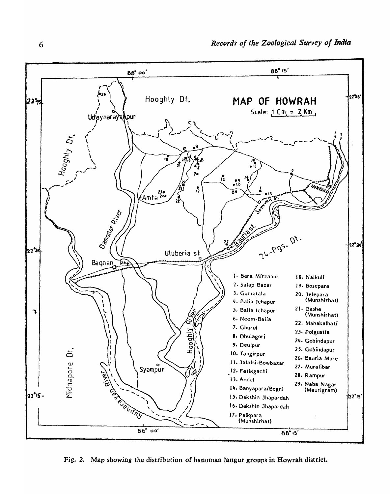

Fig. 2. Map showing the distribution of hanuman langur groups in Howrah district.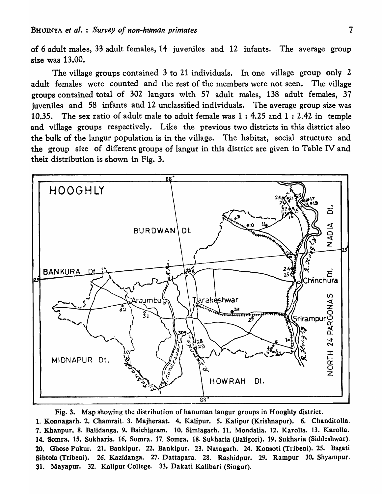of 6 adult males, 33 adult females, 14 juveniles and 12 infants. The average group size was 13.00.

The village groups contained 3 to 21 individuals. In one village group only 2 adult females were counted and the rest of the members were not seen. The village groups contained total of 302 langurs with 57 adult males, 138 adult females, 37 juveniles and 58 infants and 12 unclassified individuals. The average group size was 10.35. The sex ratio of adult male to adult female was 1 : 4.25 and 1 : 2.42 in temple and village groups respectively. Like the previous two districts in this district also the bulk of the langur population is in the village. The habitat, social structure and the group size of different groups of langur in this district are given in Table IV and their distribution is shown in Fig. 3.



Fig. 3. Map showing the distribution of hanuman langur groups in Hooghly district. 1. Konnagarh.2. Chamrail. 3. Majheraat. 4. Kalipur. *5.* Kalipur (Krishnapur). 6. Chanditolla. 7. Kbanpur. 8. Balidanga. 9. Baichigram. 10. Simlagarh. 11. MondaIia. 12. Karolla. 13. Karolla. 14. Somra. 15. Sukharia. 16. Somra. 17. Somra. 18. Sukharia (Baligori). 19. Sukharia (Siddeshwar). 20. Ghose Pukur. 21. Bankipur. 22. Bankipur. 23. Natagarh. 24. Konsoti (Tribeni). *2S.* Bagati Sibtola (Tribeni). 26. Kazidanga. 27. Dattapara. 28. Rashidpur. 29. Rampur 30. Shyampur. 31. Mayapur. 32. Kalipur College. 33. Dakati Kalibari (Singur).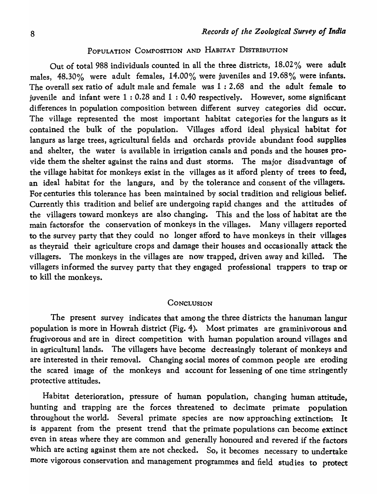## POPULATION COMPOSITION AND HABITAT DISTRIBUTION

Out of total 988 individuals counted in all the three districts, 18.02 % were adult males, 48.30% were adult females, 14.00% were juveniles and 19.68% were infants. The overall sex ratio of adult male and female was 1 : 2.68 and the adult female to juvenile and infant were 1 : 0.28 and 1 : 0.40 respectively. However, some significant differences in population composition between different survey categories did occur. The village represented the most important habitat categories for the Jangurs as it contained the bulk of the population. Villages afford ideal physical habitat for langurs as large trees, agricultural fields and orchards provide abundant food supplies and shelter, the water is available in irrigation canals and ponds and the houses provide them the shelter against the rains and dust storms. The major disadvantage of the village habitat for monkeys exist in the villages as it afford plenty of trees to feed, an ideal habitat for the langurs, and by the tolerance and consent of the villagers. For centuries this tolerance has been maintained by social tradition and religious belief. Currently this tradition and belief are undergoing rapid changes and the attitudes of the villagers toward monkeys are also changing. This and the loss of habitat are the main factorsfor the conservation of monkeys in the villages. Many villagers reported to the survey party that they could no longer afford to have monkeys in their villages as theyraid their agriculture crops and damage their houses and occasionally attack the villagers. The monkeys in the villages are now trapped, driven away and killed. The villagers informed the survey party that they engaged professional trappers to trap or to kill the monkeys.

#### **CONCLUSION**

The present survey indicates that among the three districts the hanuman langur population is more in Howrah district (Fig. 4). Most primates are graminivorous and frugivorous and are in direct competition with human population around villages and in agricultural lands. The villagers have become decreasingly tolerant of monkeys and are interested in their removal. Changing social mores of common people are eroding the scared image of the monkeys and account for lessening of one time stringently protective attitudes.

Habitat deterioration, pressure of human population, changing human attitude, hunting and trapping are the forces threatened to decimate primate population throughout the world. Several primate species are now approaching extinction. It is apparent from the present trend that the primate populations can become extinct even in areas where they are common and generally honoured and revered if the factors which are acting against them are not checked. So, it becomes necessary to undertake more vigorous conservation and management programmes and field studies to protect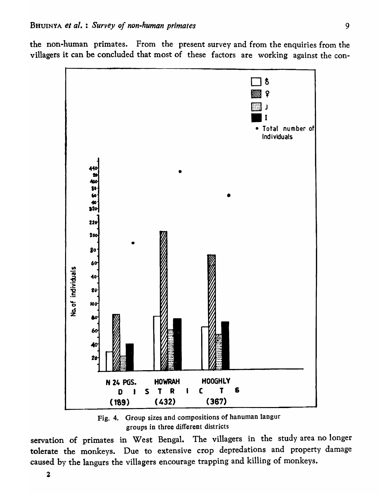the non-human primates. From the present survey and from the enquiries from the villagers it can be concluded that most of these factors are working against the con-



Fig. 4. Group sizes and compositions of hanuman langur groups in three different districts.

servation of primates in West Bengal. The villagers in the study area no longer tolerate the monkeys. Due to extensive crop depredations and property damage caused by the langurs the villagers encourage trapping and killing of monkeys.

2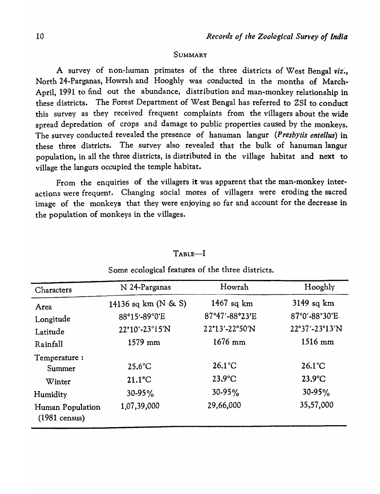#### SUMMARY

A survey of non-human primates of the three districts of West Bengal viz., North 24-Parganas, Howrah and Hooghly was conducted in the months of March-April, 1991 to find out the abundance, distribution and man-monkey relationship in these districts. The Forest Department of West Bengal has referred to ZSI to conduct this survey as they received frequent complaints from the villagers about the wide spread depredation of crops and damage to public properties caused by the monkeys. The survey conducted revealed the presence of hanuman Iangur *(PresbY tis entel/us)* in these three districts. The survey also revealed that the bulk of hanuman langur population, in all the three districts, is distributed in the village habitat and next to village the langurs occupied the temple habitat.

From the enquiries of the villagers it was apparent that the man-monkey interactions were frequent. Changing social mores of villagers were eroding the sacred image of the monkeys that they were enjoying so far and account for the decrease in the population of monkeys in the villages.

| Characters                                  | N 24-Parganas            | Howrah           | Hooghly            |
|---------------------------------------------|--------------------------|------------------|--------------------|
| Area                                        | 14136 sq km ( $N \& S$ ) | 1467 sq $km$     | $3149$ sq km       |
| Longitude                                   | 88°15'-89°0'E            | 87°47'-88°23'E   | 87°0'-88°30'E      |
| Latitude                                    | 22°10′-23°15′N           | 22°13'-22°50'N   | $22°37' - 23°13'N$ |
| Rainfall                                    | 1579 mm                  | $1676$ mm        | $1516$ mm          |
| Temperature:                                |                          |                  |                    |
| Summer                                      | $25.6^{\circ}$ C         | $26.1^{\circ}$ C | $26.1^{\circ}$ C   |
| Winter                                      | $21.1^{\circ}$ C         | $23.9^{\circ}$ C | $23.9^{\circ}$ C   |
| Humidity                                    | $30 - 95\%$              | $30-95%$         | $30 - 95\%$        |
| Human Population<br>$(1981 \text{ census})$ | 1,07,39,000              | 29,66,000        | 35,57,000          |

# TABlE-I

#### Some ecological features of the three districts.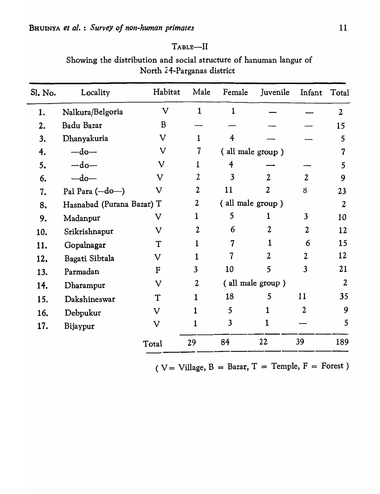| Sl. No. | Locality                  | Habitat                   | Male             | Female                  | Juvenile       | Infant                  | Total            |
|---------|---------------------------|---------------------------|------------------|-------------------------|----------------|-------------------------|------------------|
| 1.      | Nalkura/Belgoria          | $\mathbf{V}$              | $\mathbf{1}$     | $\mathbf{1}$            |                |                         | $\overline{2}$   |
| 2.      | Badu Bazar                | B                         |                  |                         |                |                         | 15               |
| 3.      | Dhanyakuria               | $\mathbf V$               | $\mathbf{1}$     | $\overline{4}$          |                |                         | 5                |
| 4.      | $-do-$                    | V                         | $\overline{7}$   | (all male group )       |                |                         |                  |
| 5.      | $-do-$                    | $\mathbf V$               | $\mathbf{1}$     | 4                       |                |                         | 5                |
| 6.      | $-do-$                    | $\mathbf V$               | $\overline{2}$   | $\overline{\mathbf{3}}$ | $\overline{2}$ | $\overline{2}$          | 9                |
| 7.      | Pal Para (-do-)           | $\mathbf V$               | $\overline{2}$   | 11                      | $\overline{2}$ | $\delta$                | 23               |
| 8.      | Hasnabad (Purana Bazar) T |                           | $\boldsymbol{2}$ | (all male group)        |                |                         | $\overline{2}$   |
| 9.      | Madanpur                  | $\boldsymbol{\mathrm{V}}$ | $\mathbf{1}$     | 5                       | $\mathbf{1}$   | $\overline{\mathbf{3}}$ | 10               |
| 10.     | Srikrishnapur             | $\mathbf V$               | $\overline{2}$   | 6                       | $\overline{2}$ | $\overline{2}$          | 12               |
| 11.     | Gopalnagar                | T                         | 1                | $\overline{7}$          | 1              | 6                       | 15               |
| 12.     | Bagati Sibtala            | $\bf V$                   | 1                | 7                       | $\overline{2}$ | $\overline{2}$          | 12               |
| 13.     | Parmadan                  | ${\bf F}$                 | $\overline{3}$   | 10                      | 5              | $\overline{3}$          | 21               |
| 14.     | Dharampur                 | $\bf V$                   | $\overline{2}$   | (all male group)        |                |                         | $\boldsymbol{2}$ |
| 15.     | Dakshineswar              | T                         | $\mathbf 1$      | 18                      | 5              | <sup>11</sup>           | 35               |
| 16.     | Debpukur                  | $\bf V$                   | $\mathbf 1$      | 5                       | 1              | $\overline{2}$          | 9                |
| 17.     | Bijaypur                  | $\mathbf V$               | 1                | $\overline{\mathbf{3}}$ | 1              |                         | $5\overline{)}$  |
|         |                           | Total                     | 29               | 84                      | 22             | 39                      | 189              |

|                            | Showing the distribution and social structure of hanuman langur of |  |  |  |  |  |  |  |
|----------------------------|--------------------------------------------------------------------|--|--|--|--|--|--|--|
| North 24-Parganas district |                                                                    |  |  |  |  |  |  |  |

TABLE-II

(  $V =$  Village,  $B =$  Bazar,  $T =$  Temple,  $F =$  Forest)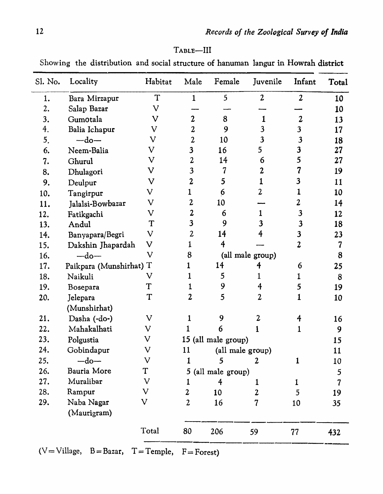| -III<br>1 ABLE- |  |
|-----------------|--|
|-----------------|--|

Showing the distribution and social structure of hanuman langur in Howrah district

| Sl. No. | Locality                | Habitat                   | Male                    | Female              | Juvenile                 | Infant                     | Total                   |
|---------|-------------------------|---------------------------|-------------------------|---------------------|--------------------------|----------------------------|-------------------------|
| 1.      | Bara Mirzapur           | T                         |                         | 5                   | $\overline{2}$           | $\overline{2}$             | 10                      |
| 2.      | Salap Bazar             | V                         |                         |                     |                          |                            | 10                      |
| 3.      | Gumotala                | V                         | 2                       | 8                   | 1                        | $\boldsymbol{2}$           | 13                      |
| 4.      | Balia Ichapur           | $\rm{V}$                  | $\boldsymbol{2}$        | 9                   | 3                        | 3                          | 17                      |
| 5.      | $-do-$                  | $\boldsymbol{\mathsf{V}}$ | 2                       | 10                  | 3                        | $\overline{\mathbf{3}}$    | 18                      |
| 6.      | Neem-Balia              | $\rm{V}$                  | 3                       | 16                  | 5                        | $\overline{\mathbf{3}}$    | 27                      |
| 7.      | Ghurul                  | $\mathbf V$               | 2                       | 14                  | 6                        | 5                          | 27                      |
| 8.      | Dhulagori               | $\mathbf V$               | 3                       |                     | 2                        |                            | 19                      |
| 9.      | Deulpur                 | $\mathbf V$               | $\overline{2}$          | 5                   |                          | 3                          | 11                      |
| 10.     | Tangirpur               | V                         |                         | $\ddot{\mathbf{6}}$ | 2                        |                            | 10                      |
| 11.     | Jalalsi-Bowbazar        | $\mathbf V$               | $\mathbf{2}$            | 10                  |                          | $\boldsymbol{\mathcal{Z}}$ | 14                      |
| 12.     | Fatikgachi              | $\rm{V}$                  | 2                       | 6                   |                          | 3                          | 12                      |
| 13.     | Andul                   | T                         | $\overline{\mathbf{3}}$ | 9                   |                          | $\overline{\mathbf{3}}$    | 18                      |
| 14.     | Banyapara/Begri         | $\mathbf V$               | $\boldsymbol{2}$        | 14                  | 4                        | $\overline{\mathbf{3}}$    | 23                      |
| 15.     | Dakshin Jhapardah       | $\rm{V}$                  |                         | 4                   |                          | 2                          | 7                       |
| 16.     | $-do-$                  | $\mathbf V$               | 8                       | (all male group)    |                          |                            | 8                       |
| 17.     | Paikpara (Munshirhat) T |                           |                         | 14                  | 4                        | 6                          | 25                      |
| 18.     | Naikuli                 | V                         |                         | 5                   |                          | 1                          | 8                       |
| 19.     | Bosepara                | T                         |                         | 9                   | 4                        | 5                          | 19                      |
| 20.     | Jelepara                | $\mathbf T$               | 2                       | 5                   | $\overline{\mathbf{2}}$  |                            | 10                      |
|         | (Munshirhat)            |                           |                         |                     |                          |                            |                         |
| 21.     | Dasha (-do-)            | $\rm{V}$                  |                         | 9                   | 2                        |                            | 16                      |
| 22.     | Mahakalhati             | $\rm{V}$                  |                         | 6                   |                          |                            | 9                       |
| 23.     | Polgustia               | $\boldsymbol{\mathrm{V}}$ | 15 (all male group)     |                     |                          |                            |                         |
| 24.     | Gobindapur              | V                         | 11<br>(all male group)  |                     |                          |                            |                         |
| 25.     | $-do-$                  | V                         | 1                       | 5                   | 2                        | $\mathbf{1}$               | 10                      |
| 26.     | Bauria More             | T                         | 5<br>(all male group)   |                     |                          |                            |                         |
| 27.     | Muralibar               | $\boldsymbol{\mathsf{V}}$ | 1                       | 4                   | $\mathbf{1}$             | 1                          | $\overline{\mathbf{7}}$ |
| 28.     | Rampur                  | $\boldsymbol{\mathsf{V}}$ | $\overline{\mathbf{2}}$ | 10                  | $\mathbf{2}$             | 5                          | 19                      |
| 29.     | Naba Nagar              | V                         | $\overline{\mathbf{2}}$ | 16                  | $\overline{\mathcal{U}}$ | 10                         | 35                      |
|         | (Maurigram)             |                           |                         |                     |                          |                            |                         |
|         |                         | Total                     | 80                      | 206                 | 59                       | 77                         | 432                     |

 $-V = V$ illage, B = Bazar, T = Temple, F = Forest)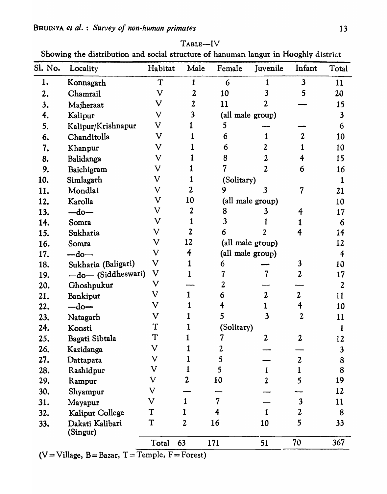| Sl. No. | Locality                    | Habitat                   | Male             | Female           | Juvenile                | Infant           | Total            |
|---------|-----------------------------|---------------------------|------------------|------------------|-------------------------|------------------|------------------|
| 1.      | Konnagarh                   | T                         | 1                | 6                |                         | $\mathbf{3}$     | 11               |
| 2.      | Chamrail                    | $\bf V$                   | $\mathbf{2}$     | 10               | 3                       | 5                | 20               |
| 3.      | Majheraat                   | $\mathbf V$               | $\boldsymbol{2}$ | 11               | 2                       |                  | 15               |
| 4.      | Kalipur                     | V                         | $\mathbf{3}$     |                  | (all male group)        |                  | $\mathbf{3}$     |
| 5.      | Kalipur/Krishnapur          | $\mathbf V$               |                  | 5                |                         |                  | 6                |
| 6.      | Chanditolla                 | $\mathbf V$               |                  | 6                | 1                       | 2                | 10               |
| 7.      | Khanpur                     | $\rm{V}$                  |                  | 6                | 2                       |                  | 10               |
| 8.      | Balidanga                   | $\boldsymbol{\mathrm{V}}$ |                  | 8                | 2                       | 4                | 15               |
| 9.      | Baichigram                  | V                         |                  |                  | 2                       | 6                | 16               |
| 10.     | Simlagarh                   | $\mathbf V$               |                  | (Solitary)       |                         |                  | 1                |
| 11.     | Mondlai                     | V                         | $\boldsymbol{2}$ | 9                | 3                       | $\overline{7}$   | 21               |
| 12.     | Karolla                     | $\mathbf V$               | 10               |                  | (all male group)        |                  | 10               |
| 13.     | $-do-$                      | V                         | 2                | 8                |                         | 4                | 17               |
| 14.     | Somra                       | $\mathbf V$               |                  | 3                |                         |                  | 6                |
| 15.     | Sukharia                    | V                         | $\mathbf{2}$     | 6                | 2                       |                  | 14               |
| 16.     | Somra                       | V                         | 12               | (all male group) |                         |                  |                  |
| 17.     | $-do-$                      | $\mathbf V$               | 4                | (all male group) |                         |                  | $\overline{4}$   |
| 18.     | Sukharia (Baligari)         | $\boldsymbol{\mathsf{V}}$ |                  | 6                |                         | 3                | 10               |
| 19.     | -do- (Siddheswari)          | $\boldsymbol{\mathsf{V}}$ |                  |                  | 7                       | 2                | 17               |
| 20.     | Ghoshpukur                  | $\mathbf V$               |                  |                  |                         |                  | $\boldsymbol{2}$ |
| 21.     | Bankipur                    | $\boldsymbol{\mathsf{V}}$ |                  | 6                | $\boldsymbol{2}$        | $\mathbf{2}$     | 11               |
| 22.     | $-$ do $-$                  | $\mathbf V$               |                  |                  |                         | 4                | 10               |
| 23.     | Natagarh                    | $\mathbf V$               |                  | 5                | $\overline{\mathbf{3}}$ | 2                | 11               |
| 24.     | Konsti                      | T                         | 1                | (Solitary)       |                         |                  | $\mathbf{1}$     |
| 25.     | Bagati Sibtala              | T                         | 1                | 7                | $\boldsymbol{2}$        | $\boldsymbol{2}$ | 12               |
| 26.     | Kazidanga                   | V                         |                  | $\boldsymbol{2}$ |                         |                  | $\mathbf{3}$     |
| 27.     | Dattapara                   | $\boldsymbol{\mathrm{V}}$ |                  | 5                |                         | $\overline{2}$   | $\bf 8$          |
| 28.     | Rashidpur                   | $\boldsymbol{\mathrm{V}}$ |                  | 5                | $\mathbf{1}$            | 1                | 8                |
| 29.     | Rampur                      | $\mathbf V$               | 2                | 10               | $\overline{2}$          | 5                | 19               |
| 30.     | Shyampur                    | $\boldsymbol{\mathrm{V}}$ |                  |                  |                         |                  | 12               |
| 31.     | Mayapur                     | $\mathbf V$               | $\mathbf{1}$     | $\overline{7}$   |                         | $\mathbf{3}$     | 11               |
| 32.     | Kalipur College             | T                         | 1                | 4                |                         | $\mathbf{2}$     | 8                |
| 33.     | Dakati Kalibari<br>(Singur) | T                         | $\overline{2}$   | 16               | 10                      | 5                | 33               |
|         |                             | Total                     | 63               | 171              | 51                      | 70               | 367              |

 $T$ ABLE $-$ I $V$ 

Showing the distribution and social structure of hanuman langur in Hooghly district

 $(V=Village, B=Bazar, T=Temple, F=Forest)$